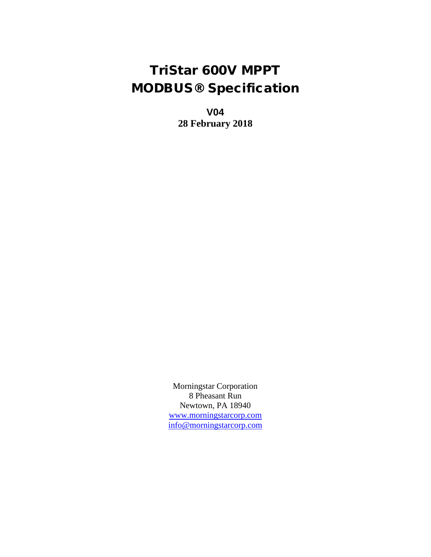# TriStar 600V MPPT MODBUS® Specification

**V04 28 February 2018**

Morningstar Corporation 8 Pheasant Run Newtown, PA 18940 [www.morningstarcorp.com](http://www.morningstarcorp.com/) [info@morningstarcorp.com](mailto:info@morningstarcorp.com)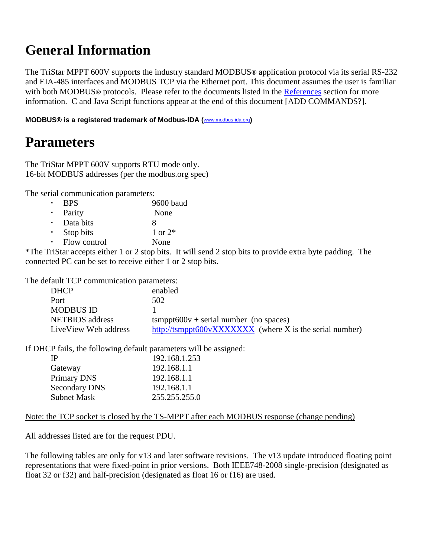# **General Information**

The TriStar MPPT 600V supports the industry standard MODBUS**®** application protocol via its serial RS-232 and EIA-485 interfaces and MODBUS TCP via the Ethernet port. This document assumes the user is familiar with both MODBUS**®** protocols. Please refer to the documents listed in the [References](#page-26-0) section for more information. C and Java Script functions appear at the end of this document [ADD COMMANDS?].

**MODBUS® is a registered trademark of Modbus-IDA (**[www.modbus-ida.org](http://www.modbus-ida.org/)**)**

# **Parameters**

The TriStar MPPT 600V supports RTU mode only. 16-bit MODBUS addresses (per the modbus.org spec)

The serial communication parameters:

- BPS 9600 baud
- Parity None
- Data bits  $\begin{array}{ccc} 8 \\ \text{ston bits} \end{array}$   $\begin{array}{ccc} 8 \\ 1 \text{ or } 2^* \end{array}$ Stop bits
- Flow control None

\*The TriStar accepts either 1 or 2 stop bits. It will send 2 stop bits to provide extra byte padding. The connected PC can be set to receive either 1 or 2 stop bits.

The default TCP communication parameters:

| <b>DHCP</b>            | enabled                                                 |
|------------------------|---------------------------------------------------------|
| Port                   | 502                                                     |
| <b>MODBUS ID</b>       |                                                         |
| <b>NETBIOS</b> address | $tsmppt600v + serial number (no spaces)$                |
| LiveView Web address   | http://tsmppt600vXXXXXXX (where X is the serial number) |

If DHCP fails, the following default parameters will be assigned:

| IP                   | 192.168.1.253 |
|----------------------|---------------|
| Gateway              | 192.168.1.1   |
| Primary DNS          | 192.168.1.1   |
| <b>Secondary DNS</b> | 192.168.1.1   |
| <b>Subnet Mask</b>   | 255.255.255.0 |

Note: the TCP socket is closed by the TS-MPPT after each MODBUS response (change pending)

All addresses listed are for the request PDU.

The following tables are only for v13 and later software revisions. The v13 update introduced floating point representations that were fixed-point in prior versions. Both IEEE748-2008 single-precision (designated as float 32 or f32) and half-precision (designated as float 16 or f16) are used.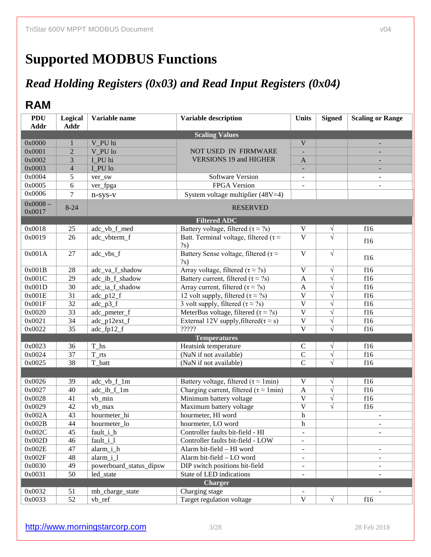# **Supported MODBUS Functions**

# *Read Holding Registers (0x03) and Read Input Registers (0x04)*

## **RAM**

| <b>PDU</b><br><b>Addr</b> | Logical<br><b>Addr</b> | Variable name               | <b>Variable description</b>                                         | <b>Units</b>              | <b>Signed</b>         | <b>Scaling or Range</b>  |
|---------------------------|------------------------|-----------------------------|---------------------------------------------------------------------|---------------------------|-----------------------|--------------------------|
|                           |                        |                             | <b>Scaling Values</b>                                               |                           |                       |                          |
| 0x0000                    | 1                      | V_PU hi                     |                                                                     | $\overline{V}$            |                       |                          |
| 0x0001                    | $\overline{2}$         | V PU lo                     | <b>NOT USED IN FIRMWARE</b>                                         |                           |                       |                          |
| 0x0002                    | 3                      | I_PU hi                     | <b>VERSIONS 19 and HIGHER</b>                                       | $\mathbf{A}$              |                       |                          |
| 0x0003                    | 4                      | I_PU lo                     |                                                                     | $\equiv$                  |                       |                          |
| 0x0004                    | 5                      | ver_sw                      | Software Version                                                    | $\blacksquare$            |                       | $\overline{\phantom{a}}$ |
| 0x0005                    | 6                      | ver_fpga                    | FPGA Version                                                        |                           |                       |                          |
| 0x0006                    | 7                      | $n$ -sys-v                  | System voltage multiplier $(48V=4)$                                 |                           |                       |                          |
| $0x0008 -$                | $8 - 24$               |                             | <b>RESERVED</b>                                                     |                           |                       |                          |
| 0x0017                    |                        |                             |                                                                     |                           |                       |                          |
|                           |                        |                             | <b>Filtered ADC</b>                                                 |                           |                       |                          |
| 0x0018                    | 25                     | adc_vb_f_med                | Battery voltage, filtered ( $\tau \approx ?s$ )                     | $\mathbf V$               | $\sqrt{}$             | f16                      |
| 0x0019                    | 26                     | adc_vbterm_f                | Batt. Terminal voltage, filtered ( $\tau \approx$                   | $\overline{\mathbf{v}}$   | $\sqrt{}$             | f16                      |
|                           |                        |                             | $\binom{2}{s}$                                                      |                           |                       |                          |
| 0x001A                    | 27                     | adc_vbs_f                   | Battery Sense voltage, filtered ( $\tau \approx$<br>$\binom{2s}{ }$ | $\mathbf{V}$              | $\sqrt{ }$            | f16                      |
| 0x001B                    | 28                     | adc_va_f_shadow             | Array voltage, filtered ( $\tau \approx ?s$ )                       | $\overline{\mathbf{V}}$   | $\sqrt{}$             | f16                      |
| 0x001C                    | $\overline{29}$        | adc_ib_f_shadow             | Battery current, filtered ( $\tau \approx ?s$ )                     | $\mathbf{A}$              | $\overline{\sqrt{} }$ | f16                      |
| 0x001D                    | 30                     | adc_ia_f_shadow             | Array current, filtered $(\tau \approx ?s)$                         | $\mathbf{A}$              | $\sqrt{}$             | f16                      |
| 0x001E                    | $\overline{31}$        | $adc_p12_f$                 | 12 volt supply, filtered ( $\tau \approx ?s$ )                      | $\overline{\mathbf{V}}$   | $\overline{\sqrt{} }$ | f16                      |
| 0x001F                    | $\overline{32}$        | $adc_p\overline{3_f}$       | 3 volt supply, filtered ( $\tau \approx ?s$ )                       | $\overline{\mathbf{V}}$   | $\overline{\sqrt{} }$ | f16                      |
| 0x0020                    | $\overline{33}$        | adc_pmeter_f                | MeterBus voltage, filtered ( $\tau \approx ?s$ )                    | $\overline{\mathbf{V}}$   | $\sqrt{}$             | f16                      |
| 0x0021                    | $\overline{34}$        | adc_p12ext_f                | External 12V supply, filtered( $\tau \approx s$ )                   | $\overline{\mathbf{V}}$   | $\sqrt{}$             | f16                      |
| 0x0022                    | $\overline{35}$        | adc_fp12_f                  | 72222                                                               | $\overline{\mathbf{V}}$   | $\overline{\sqrt{} }$ | f16                      |
|                           |                        |                             | <b>Temperatures</b>                                                 |                           |                       |                          |
| 0x0023                    | 36                     | $T_$ ls                     | Heatsink temperature                                                | ${\bf C}$                 | $\sqrt{}$             | f16                      |
| 0x0024                    | $\overline{37}$        | $T_{rts}$                   | (NaN if not available)                                              | $\overline{C}$            | $\overline{\sqrt{} }$ | f16                      |
| 0x0025                    | 38                     | T_batt                      | (NaN if not available)                                              | $\overline{C}$            | $\overline{\sqrt{ }}$ | f16                      |
|                           |                        |                             |                                                                     |                           |                       |                          |
| 0x0026                    | 39                     | adc_vb_f_1m                 | Battery voltage, filtered ( $\tau \approx 1$ min)                   | $\mathbf V$               | $\sqrt{}$             | f16                      |
| 0x0027                    | 40                     | $\overline{adc\_ib\_f\_lm}$ | Charging current, filtered ( $\tau \approx 1$ min)                  | $\mathbf{A}$              | $\overline{\sqrt{} }$ | f16                      |
| 0x0028                    | 41                     | vb_min                      | Minimum battery voltage                                             | $\overline{\mathbf{V}}$   | $\overline{\sqrt{} }$ | f16                      |
| 0x0029                    | 42                     | vb_max                      | Maximum battery voltage                                             | $\overline{\mathbf{V}}$   | $\overline{\sqrt{} }$ | f16                      |
| 0x002A                    | $\overline{43}$        | hourmeter_hi                | hourmeter, HI word                                                  | $\boldsymbol{\textbf{h}}$ |                       |                          |
| 0x002B                    | $\overline{44}$        | hourmeter lo                | hourmeter, LO word                                                  | $\boldsymbol{\text{h}}$   |                       |                          |
| 0x002C                    | 45                     | fault_i_h                   | Controller faults bit-field - HI                                    | $\overline{\phantom{a}}$  |                       | $\overline{\phantom{a}}$ |
| 0x002D                    | 46                     | fault_i_l                   | Controller faults bit-field - LOW                                   |                           |                       |                          |
| 0x002E                    | 47                     | alarm_i_h                   | Alarm bit-field - HI word                                           | $\overline{\phantom{a}}$  |                       | $\overline{\phantom{m}}$ |
| 0x002F                    | 48                     | alarm i 1                   | Alarm bit-field - LO word                                           | $\blacksquare$            |                       | $\overline{\phantom{0}}$ |
| 0x0030                    | 49                     | powerboard_status_dipsw     | DIP switch positions bit-field                                      | $\overline{\phantom{a}}$  |                       |                          |
| 0x0031                    | 50                     | led state                   | State of LED indications                                            |                           |                       |                          |
|                           |                        |                             | <b>Charger</b>                                                      |                           |                       |                          |
| 0x0032                    | 51                     | mb_charge_state             | Charging stage                                                      |                           |                       |                          |
| 0x0033                    | $\overline{52}$        | vb_ref                      | Target regulation voltage                                           | $\mathbf V$               | $\sqrt{}$             | f16                      |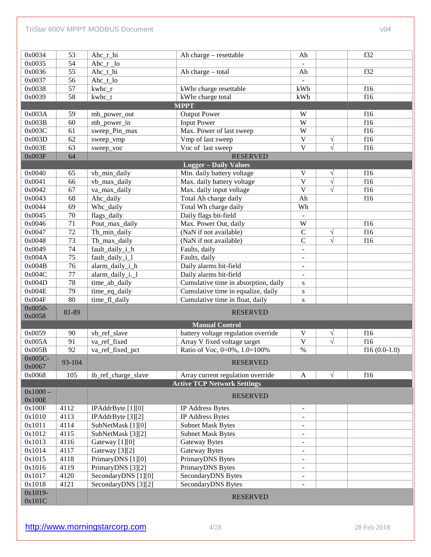#### TriStar 600V MPPT MODBUS Document voltage and the control of the control of the control of the control of the control of the control of the control of the control of the control of the control of the control of the control

| 0x0034            | 53              | Ahc_r_hi                | Ah charge - resettable               | Ah                       |                       | f32            |
|-------------------|-----------------|-------------------------|--------------------------------------|--------------------------|-----------------------|----------------|
| 0x0035            | $\overline{54}$ | Ahc $_r$ $_{\text{lo}}$ |                                      |                          |                       |                |
| 0x0036            | $\overline{55}$ | Ahc_t_hi                | Ah charge - total                    | Ah                       |                       | f32            |
| 0x0037            | $\overline{56}$ | Ahc_t_lo                |                                      |                          |                       |                |
| 0x0038            | $\overline{57}$ | kwhc_r                  | kWhr charge resettable               | kWh                      |                       | f16            |
| 0x0039            | $\overline{58}$ | kwhc_t                  | kWhr charge total                    | kWh                      |                       | f16            |
|                   |                 |                         | <b>MPPT</b>                          |                          |                       |                |
| 0x003A            | 59              | mb_power_out            | <b>Output Power</b>                  | W                        |                       | f16            |
| 0x003B            | $\overline{60}$ | mb_power_in             | <b>Input Power</b>                   | $\overline{W}$           |                       | f16            |
| 0x003C            | 61              | sweep_Pin_max           | Max. Power of last sweep             | $\overline{W}$           |                       | f16            |
| 0x003D            | 62              | sweep_vmp               | Vmp of last sweep                    | $\overline{\mathbf{V}}$  | $\sqrt{}$             | f16            |
| 0x003E            | 63              | sweep_voc               | Voc of last sweep                    | $\overline{\mathbf{V}}$  | $\overline{\sqrt{} }$ | f16            |
| 0x003F            | 64              |                         | <b>RESERVED</b>                      |                          |                       |                |
|                   |                 |                         | <b>Logger - Daily Values</b>         |                          |                       |                |
| 0x0040            | 65              | vb_min_daily            | Min. daily battery voltage           | V                        | $\sqrt{}$             | f16            |
| 0x0041            | 66              | vb_max_daily            | Max. daily battery voltage           | $\overline{\mathbf{V}}$  | $\overline{\sqrt{} }$ | f16            |
| 0x0042            | 67              | va_max_daily            | Max. daily input voltage             | $\overline{\mathbf{V}}$  | $\overline{\sqrt{} }$ | f16            |
| 0x0043            | 68              | Ahc_daily               | Total Ah charge daily                | Ah                       |                       | f16            |
| 0x0044            | $\overline{69}$ | Whc_daily               | Total Wh charge daily                | Wh                       |                       |                |
| 0x0045            | $\overline{70}$ | flags_daily             | Daily flags bit-field                |                          |                       |                |
| 0x0046            | $\overline{71}$ | Pout_max_daily          | Max. Power Out, daily                | $\overline{W}$           |                       | f16            |
| 0x0047            | $\overline{72}$ | Tb_min_daily            | (NaN if not available)               | $\mathsf C$              | $\sqrt{}$             | f16            |
| 0x0048            | $\overline{73}$ | Tb_max_daily            | (NaN if not available)               | $\overline{C}$           | $\overline{\sqrt{} }$ | f16            |
| 0x0049            | $\overline{74}$ | fault_daily_i_h         | Faults, daily                        | Ξ.                       |                       |                |
| 0x004A            | $\overline{75}$ | fault_daily_i_l         | Faults, daily                        | $\overline{\phantom{0}}$ |                       |                |
| 0x004B            | $\overline{76}$ | alarm_daily_i_h         | Daily alarms bit-field               | $\overline{\phantom{0}}$ |                       |                |
| 0x004C            | 77              | alarm_daily_i._l        | Daily alarms bit-field               |                          |                       |                |
| 0x004D            | $\overline{78}$ | time_ab_daily           | Cumulative time in absorption, daily | ${\bf S}$                |                       |                |
| 0x004E            | 79              | time_eq_daily           | Cumulative time in equalize, daily   | ${\bf S}$                |                       |                |
| 0x004F            | $\overline{80}$ | time_fl_daily           | Cumulative time in float, daily      | S                        |                       |                |
| 0x0050-           | 81-89           | <b>RESERVED</b>         |                                      |                          |                       |                |
| 0x0058            |                 |                         |                                      |                          |                       |                |
|                   |                 |                         | <b>Manual Control</b>                |                          |                       |                |
| 0x0059            | 90              | vb_ref_slave            | battery voltage regulation override  | V                        | $\sqrt{}$             | f16            |
| 0x005A            | 91              | va ref fixed            | Array V fixed voltage target         | $\overline{\mathbf{V}}$  | $\overline{\sqrt{} }$ | f16            |
| 0x005B            | $\overline{92}$ | va_ref_fixed_pct        | Ratio of Voc, 0=0%, 1.0=100%         | $\%$                     |                       | $f16(0.0-1.0)$ |
| 0x005C-<br>0x0067 | 93-104          |                         | <b>RESERVED</b>                      |                          |                       |                |
| 0x0068            | 105             | ib_ref_charge_slave     | Array current regulation override    | $\mathbf{A}$             | $\sqrt{ }$            | f16            |
|                   |                 |                         | <b>Active TCP Network Settings</b>   |                          |                       |                |
| $0x1000 -$        |                 |                         |                                      |                          |                       |                |
| 0x100E            |                 |                         | <b>RESERVED</b>                      |                          |                       |                |
| 0x100F            | 4112            | IPAddrByte [1][0]       | IP Address Bytes                     | $\blacksquare$           |                       |                |
| 0x1010            | 4113            | IPAddrByte [3][2]       | IP Address Bytes                     |                          |                       |                |
| 0x1011            | 4114            | SubNetMask [1][0]       | <b>Subnet Mask Bytes</b>             | -                        |                       |                |
| 0x1012            | 4115            | SubNetMask [3][2]       | <b>Subnet Mask Bytes</b>             |                          |                       |                |
| 0x1013            | 4116            | Gateway [1][0]          | Gateway Bytes                        | Ξ.                       |                       |                |
| 0x1014            | 4117            | Gateway [3][2]          | Gateway Bytes                        | -                        |                       |                |
| 0x1015            | 4118            | PrimaryDNS [1][0]       | PrimaryDNS Bytes                     |                          |                       |                |
| 0x1016            | 4119            | PrimaryDNS [3][2]       | PrimaryDNS Bytes                     | -                        |                       |                |
| 0x1017            | 4120            | SecondaryDNS [1][0]     | SecondaryDNS Bytes                   |                          |                       |                |
| 0x1018            | 4121            | SecondaryDNS [3][2]     | SecondaryDNS Bytes                   |                          |                       |                |
| 0x1019-           |                 |                         |                                      |                          |                       |                |
| 0x101C            |                 |                         | <b>RESERVED</b>                      |                          |                       |                |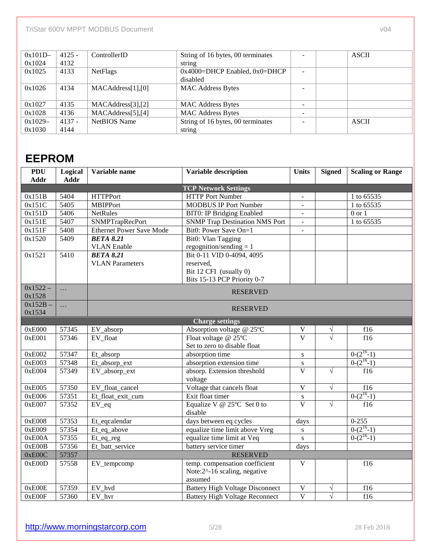| $0x101D -$ | $4125 -$ | ControllerID       | String of 16 bytes, 00 terminates     |   | <b>ASCII</b> |
|------------|----------|--------------------|---------------------------------------|---|--------------|
| 0x1024     | 4132     |                    | string                                |   |              |
| 0x1025     | 4133     | <b>NetFlags</b>    | $0x4000 = DHCP$ Enabled, $0x0 = DHCP$ |   |              |
|            |          |                    | disabled                              |   |              |
| 0x1026     | 4134     | MACAddress[1],[0]  | <b>MAC Address Bytes</b>              |   |              |
|            |          |                    |                                       |   |              |
| 0x1027     | 4135     | MACAddress[3],[2]  | <b>MAC Address Bytes</b>              | - |              |
| 0x1028     | 4136     | MACAddress[5], [4] | <b>MAC Address Bytes</b>              |   |              |
| $0x1029-$  | $4137 -$ | NetBIOS Name       | String of 16 bytes, 00 terminates     |   | <b>ASCII</b> |
| 0x1030     | 4144     |                    | string                                |   |              |

## **EEPROM**

| <b>PDU</b><br>Addr | Logical<br>Addr | Variable name                   | <b>Variable description</b>            | Units                    | <b>Signed</b> | <b>Scaling or Range</b> |
|--------------------|-----------------|---------------------------------|----------------------------------------|--------------------------|---------------|-------------------------|
|                    |                 |                                 | <b>TCP Network Settings</b>            |                          |               |                         |
| 0x151B             | 5404            | <b>HTTPPort</b>                 | <b>HTTP Port Number</b>                | $\overline{\phantom{a}}$ |               | 1 to 65535              |
| 0x151C             | 5405            | <b>MBIPPort</b>                 | <b>MODBUS IP Port Number</b>           |                          |               | 1 to 65535              |
| 0x151D             | 5406            | <b>NetRules</b>                 | <b>BIT0: IP Bridging Enabled</b>       | $\omega$                 |               | $0$ or $1$              |
| 0x151E             | 5407            | <b>SNMPTrapRecPort</b>          | <b>SNMP Trap Destination NMS Port</b>  | $\omega$                 |               | 1 to 65535              |
| 0x151F             | 5408            | <b>Ethernet Power Save Mode</b> | Bit0: Power Save On=1                  | $\overline{\phantom{a}}$ |               |                         |
| 0x1520             | 5409            | <b>BETA 8.21</b>                | Bit0: Vlan Tagging                     |                          |               |                         |
|                    |                 | <b>VLAN</b> Enable              | regognition/sending $= 1$              |                          |               |                         |
| 0x1521             | 5410            | <b>BETA 8.21</b>                | Bit 0-11 VID 0-4094, 4095              |                          |               |                         |
|                    |                 | <b>VLAN Parameters</b>          | reserved,                              |                          |               |                         |
|                    |                 |                                 | Bit 12 CFI (usually 0)                 |                          |               |                         |
|                    |                 |                                 | Bits 15-13 PCP Priority 0-7            |                          |               |                         |
| $0x1522 -$         | $\ddots$        |                                 | <b>RESERVED</b>                        |                          |               |                         |
| 0x1528             |                 |                                 |                                        |                          |               |                         |
| $0x152B -$         | $\ddots$        |                                 | <b>RESERVED</b>                        |                          |               |                         |
| 0x1534             |                 |                                 |                                        |                          |               |                         |
|                    |                 |                                 | <b>Charge settings</b>                 |                          |               |                         |
| 0xE000             | 57345           | EV_absorp                       | Absorption voltage @ 25°C              | $\mathbf V$              | V             | f16                     |
| 0xE001             | 57346           | EV float                        | Float voltage $@$ 25 $°C$              | $\overline{\mathbf{V}}$  | $\sqrt{}$     | f16                     |
|                    |                 |                                 | Set to zero to disable float           |                          |               |                         |
| 0xE002             | 57347           | Et_absorp                       | absorption time                        | ${\bf S}$                |               | $0-(2^{16}-1)$          |
| 0xE003             | 57348           | Et_absorp_ext                   | absorption extension time              | ${\bf S}$                |               | $0-(2^{16}-1)$          |
| 0xE004             | 57349           | EV_absorp_ext                   | absorp. Extension threshold            | $\overline{V}$           | $\sqrt{}$     | f16                     |
|                    |                 |                                 | voltage                                |                          |               |                         |
| 0xE005             | 57350           | EV_float_cancel                 | Voltage that cancels float             | $\overline{\mathbf{V}}$  | $\sqrt{}$     | f16                     |
| 0xE006             | 57351           | Et_float_exit_cum               | Exit float timer                       | ${\bf S}$                |               | $0-(2^{16}-1)$          |
| 0xE007             | 57352           | $EV_eq$                         | Equalize V @ $25^{\circ}$ C Set 0 to   | $\overline{\mathbf{V}}$  | $\sqrt{}$     | f16                     |
|                    |                 |                                 | disable                                |                          |               |                         |
| 0xE008             | 57353           | Et_eqcalendar                   | days between eq cycles                 | days                     |               | $0 - 255$               |
| 0xE009             | 57354           | Et_eq_above                     | equalize time limit above Vreg         | ${\bf S}$                |               | $0-(2^{16}-1)$          |
| 0xE00A             | 57355           | Et_eq_reg                       | equalize time limit at Veq             | S                        |               | $0-(2^{16}-1)$          |
| 0xE00B             | 57356           | Et_batt_service                 | battery service timer                  | days                     |               |                         |
| 0xE00C             | 57357           |                                 | <b>RESERVED</b>                        |                          |               |                         |
| 0xE00D             | 57558           | EV_tempcomp                     | temp. compensation coefficient         | $\mathbf{V}$             |               | f16                     |
|                    |                 |                                 | Note:2^-16 scaling, negative           |                          |               |                         |
|                    |                 |                                 | assumed                                |                          |               |                         |
| 0xE00E             | 57359           | EV hvd                          | <b>Battery High Voltage Disconnect</b> | $\mathbf{V}$             | $\sqrt{}$     | f16                     |
| 0xE00F             | 57360           | EV_hvr                          | <b>Battery High Voltage Reconnect</b>  | $\overline{\mathbf{V}}$  | $\sqrt{}$     | f16                     |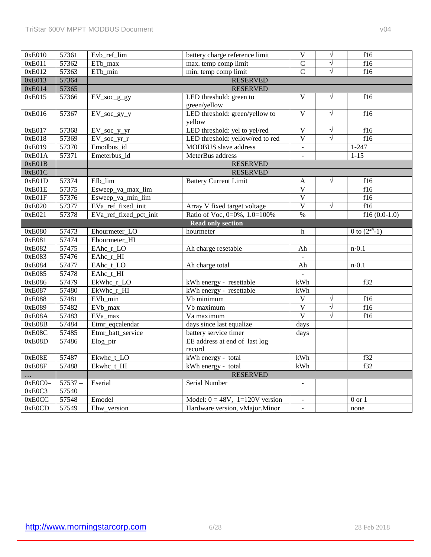| 0xE010    | 57361    | Evb_ref_lim            | battery charge reference limit           | $\overline{V}$           | $\sqrt{2}$            | f16               |
|-----------|----------|------------------------|------------------------------------------|--------------------------|-----------------------|-------------------|
| 0xE011    | 57362    | ETb_max                | max. temp comp limit                     | $\overline{C}$           | $\overline{\sqrt{} }$ | f16               |
| 0xE012    | 57363    | ETb_min                | min. temp comp limit                     | $\overline{C}$           | $\sqrt{}$             | f16               |
| 0xE013    | 57364    |                        | <b>RESERVED</b>                          |                          |                       |                   |
| 0xE014    | 57365    |                        | <b>RESERVED</b>                          |                          |                       |                   |
| 0xE015    | 57366    | $EV\_soc\_g\_gy$       | LED threshold: green to<br>green/yellow  | $\overline{V}$           | $\sqrt{ }$            | f16               |
| 0xE016    | 57367    | $EV\_soc\_gy_y$        | LED threshold: green/yellow to<br>yellow | $\overline{\mathbf{V}}$  | $\sqrt{}$             | f16               |
| 0xE017    | 57368    | EV_soc_y_yr            | LED threshold: yel to yel/red            | $\overline{\mathbf{V}}$  | $\sqrt{}$             | f16               |
| 0xE018    | 57369    | $EV\_soc\_yr\_r$       | LED threshold: yellow/red to red         | $\overline{V}$           | $\sqrt{ }$            | f16               |
| 0xE019    | 57370    | Emodbus_id             | <b>MODBUS</b> slave address              | $\blacksquare$           |                       | $1 - 247$         |
| 0xE01A    | 57371    | Emeterbus_id           | MeterBus address                         |                          |                       | $1 - 15$          |
| 0xE01B    |          |                        | <b>RESERVED</b>                          |                          |                       |                   |
| 0xE01C    |          |                        | <b>RESERVED</b>                          |                          |                       |                   |
| 0xE01D    | 57374    | EIb lim                | <b>Battery Current Limit</b>             | $\mathbf{A}$             | $\sqrt{}$             | f16               |
| 0xE01E    | 57375    | Esweep_va_max_lim      |                                          | $\overline{V}$           |                       | f16               |
| 0xE01F    | 57376    | Esweep_va_min_lim      |                                          | $\overline{\mathbf{V}}$  |                       | f16               |
| 0xE020    | 57377    | EVa_ref_fixed_init     | Array V fixed target voltage             | $\overline{V}$           | $\sqrt{}$             | f16               |
| 0xE021    | 57378    | EVa_ref_fixed_pct_init | Ratio of Voc, 0=0%, 1.0=100%             | $\%$                     |                       | f16 $(0.0-1.0)$   |
|           |          |                        | <b>Read only section</b>                 |                          |                       |                   |
| 0xE080    | 57473    | Ehourmeter_LO          | hourmeter                                | $\mathbf h$              |                       | 0 to $(2^{24}-1)$ |
| 0xE081    | 57474    | Ehourmeter_HI          |                                          |                          |                       |                   |
| 0xE082    | 57475    | EAhc_r_LO              | Ah charge resetable                      | Ah                       |                       | $n \cdot 0.1$     |
| 0xE083    | 57476    | EAhc_r_HI              |                                          |                          |                       |                   |
| 0xE084    | 57477    | EAhc_t_LO              | Ah charge total                          | Ah                       |                       | $n \cdot 0.1$     |
| 0xE085    | 57478    | EAhc_t_HI              |                                          | $\mathbb{Z}^2$           |                       |                   |
| 0xE086    | 57479    | EkWhc_r_LO             | kWh energy - resettable                  | kWh                      |                       | f32               |
| 0xE087    | 57480    | EkWhc_r_HI             | kWh energy - resettable                  | kWh                      |                       |                   |
| 0xE088    | 57481    | EV <sub>b_min</sub>    | Vb minimum                               | $\overline{V}$           | $\sqrt{}$             | f16               |
| 0xE089    | 57482    | EVb_max                | Vb maximum                               | $\overline{\mathbf{V}}$  | $\sqrt{}$             | f16               |
| 0xE08A    | 57483    | EVa_max                | Va maximum                               | $\overline{V}$           | $\sqrt{}$             | f16               |
| 0xE08B    | 57484    | Etmr_eqcalendar        | days since last equalize                 | days                     |                       |                   |
| 0xE08C    | 57485    | Etmr_batt_service      | battery service timer                    | days                     |                       |                   |
| 0xE08D    | 57486    | Elog_ptr               | EE address at end of last log<br>record  |                          |                       |                   |
| 0xE08E    | 57487    | Ekwhc_t_LO             | kWh energy - total                       | kWh                      |                       | f32               |
| 0xE08F    | 57488    | Ekwhc_t_HI             | kWh energy - total                       | kWh                      |                       | f32               |
|           |          |                        | <b>RESERVED</b>                          |                          |                       |                   |
| $0xE0C0-$ | $57537-$ | Eserial                | Serial Number                            |                          |                       |                   |
| 0xE0C3    | 57540    |                        |                                          |                          |                       |                   |
| 0xE0CC    |          | Emodel                 | Model: $0 = 48V$ , $1=120V$ version      |                          |                       | $0$ or $1$        |
|           | 57548    |                        | Hardware version, vMajor.Minor           | $\overline{\phantom{a}}$ |                       |                   |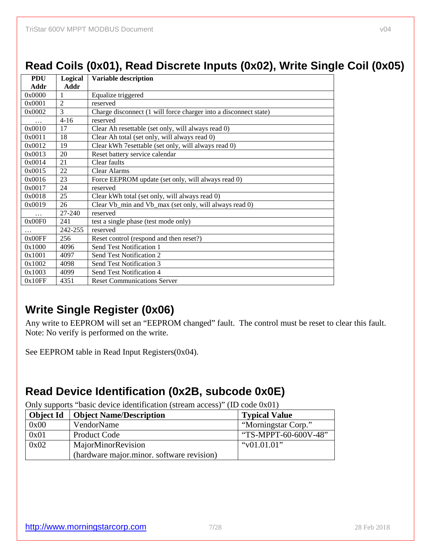## **Read Coils (0x01), Read Discrete Inputs (0x02), Write Single Coil (0x05)**

| <b>PDU</b> | Logical        | Variable description                                             |
|------------|----------------|------------------------------------------------------------------|
| Addr       | Addr           |                                                                  |
| 0x0000     | 1              | Equalize triggered                                               |
| 0x0001     | $\mathfrak{D}$ | reserved                                                         |
| 0x0002     | $\mathcal{E}$  | Charge disconnect (1 will force charger into a disconnect state) |
| .          | $4 - 16$       | reserved                                                         |
| 0x0010     | 17             | Clear Ah resettable (set only, will always read 0)               |
| 0x0011     | 18             | Clear Ah total (set only, will always read 0)                    |
| 0x0012     | 19             | Clear kWh 7esettable (set only, will always read 0)              |
| 0x0013     | 20             | Reset battery service calendar                                   |
| 0x0014     | 21             | Clear faults                                                     |
| 0x0015     | 22             | <b>Clear Alarms</b>                                              |
| 0x0016     | 23             | Force EEPROM update (set only, will always read 0)               |
| 0x0017     | 24             | reserved                                                         |
| 0x0018     | 25             | Clear kWh total (set only, will always read 0)                   |
| 0x0019     | 26             | Clear Vb_min and Vb_max (set only, will always read 0)           |
| $\cdots$   | 27-240         | reserved                                                         |
| 0x00F0     | 241            | test a single phase (test mode only)                             |
| .          | 242-255        | reserved                                                         |
| 0x00FF     | 256            | Reset control (respond and then reset?)                          |
| 0x1000     | 4096           | Send Test Notification 1                                         |
| 0x1001     | 4097           | Send Test Notification 2                                         |
| 0x1002     | 4098           | Send Test Notification 3                                         |
| 0x1003     | 4099           | Send Test Notification 4                                         |
| 0x10FF     | 4351           | <b>Reset Communications Server</b>                               |

## **Write Single Register (0x06)**

Any write to EEPROM will set an "EEPROM changed" fault. The control must be reset to clear this fault. Note: No verify is performed on the write.

See EEPROM table in Read Input Registers(0x04).

## **Read Device Identification (0x2B, subcode 0x0E)**

Only supports "basic device identification (stream access)" (ID code 0x01)

| <b>Object Id</b> | <b>Object Name/Description</b>            | <b>Typical Value</b> |
|------------------|-------------------------------------------|----------------------|
| 0x00             | VendorName                                | "Morningstar Corp."  |
| 0x01             | <b>Product Code</b>                       | "TS-MPPT-60-600V-48" |
| 0x02             | MajorMinorRevision                        | " $v01.01.01$ "      |
|                  | (hardware major.minor. software revision) |                      |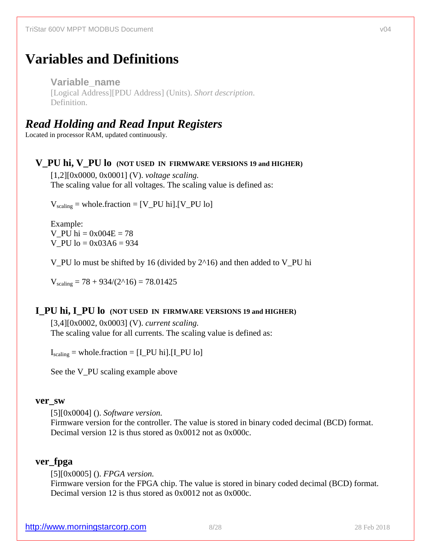# **Variables and Definitions**

**Variable\_name**  [Logical Address][PDU Address] (Units). *Short description*. Definition.

## *Read Holding and Read Input Registers*

Located in processor RAM, updated continuously.

### **V\_PU hi, V\_PU lo (NOT USED IN FIRMWARE VERSIONS 19 and HIGHER)**

[1,2][0x0000, 0x0001] (V). *voltage scaling.* The scaling value for all voltages. The scaling value is defined as:

 $V_{\text{scaling}} = \text{whole}.$  fraction = [V\_PU hi]. [V\_PU lo]

Example: V PU hi =  $0x004E = 78$ V PU  $lo = 0x03A6 = 934$ 

V\_PU lo must be shifted by 16 (divided by 2^16) and then added to V\_PU hi

 $V_{\text{scaling}} = 78 + 934/(2^2 \cdot 16) = 78.01425$ 

### **I\_PU hi, I\_PU lo (NOT USED IN FIRMWARE VERSIONS 19 and HIGHER)**

[3,4][0x0002, 0x0003] (V). *current scaling.* The scaling value for all currents. The scaling value is defined as:

 $I_{\text{scaling}} = \text{whole}.$ fraction =  $[I_PU$  hi]. $[I_PU]$ 

See the V<sub>PU</sub> scaling example above

#### **ver\_sw**

[5][0x0004] (). *Software version.*

Firmware version for the controller. The value is stored in binary coded decimal (BCD) format. Decimal version 12 is thus stored as 0x0012 not as 0x000c.

### **ver\_fpga**

[5][0x0005] (). *FPGA version.*

Firmware version for the FPGA chip. The value is stored in binary coded decimal (BCD) format. Decimal version 12 is thus stored as 0x0012 not as 0x000c.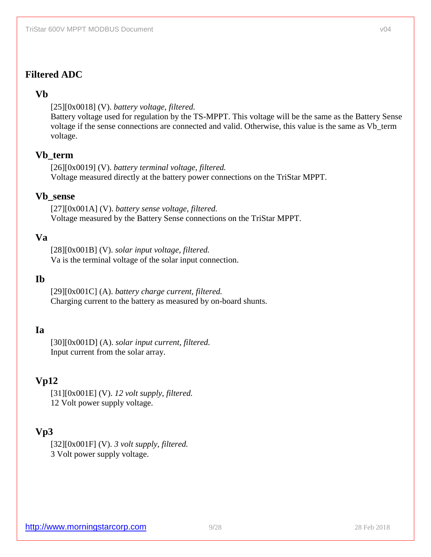## **Filtered ADC**

### **Vb**

[25][0x0018] (V). *battery voltage, filtered.* Battery voltage used for regulation by the TS-MPPT. This voltage will be the same as the Battery Sense voltage if the sense connections are connected and valid. Otherwise, this value is the same as Vb\_term voltage.

### **Vb\_term**

[26][0x0019] (V). *battery terminal voltage, filtered.* Voltage measured directly at the battery power connections on the TriStar MPPT.

### **Vb\_sense**

[27][0x001A] (V). *battery sense voltage, filtered.* Voltage measured by the Battery Sense connections on the TriStar MPPT.

### **Va**

[28][0x001B] (V). *solar input voltage, filtered.* Va is the terminal voltage of the solar input connection.

#### **Ib**

[29][0x001C] (A). *battery charge current, filtered.*  Charging current to the battery as measured by on-board shunts.

## **Ia**

[30][0x001D] (A). *solar input current, filtered.*  Input current from the solar array.

## **Vp12**

[31][0x001E] (V). *12 volt supply, filtered.*  12 Volt power supply voltage.

## **Vp3**

[32][0x001F] (V). *3 volt supply, filtered.*  3 Volt power supply voltage.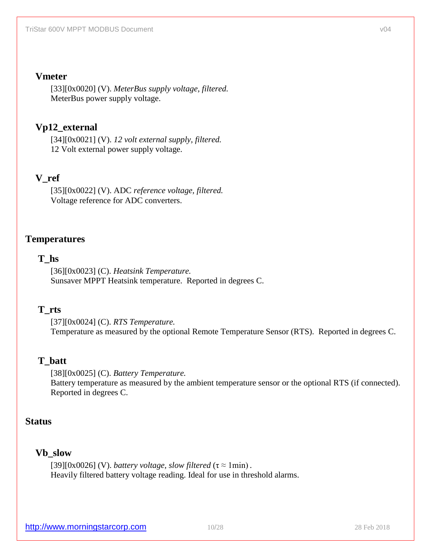### **Vmeter**

[33][0x0020] (V). *MeterBus supply voltage, filtered.*  MeterBus power supply voltage.

## **Vp12\_external**

[34][0x0021] (V). *12 volt external supply, filtered.* 12 Volt external power supply voltage.

## **V\_ref**

[35][0x0022] (V). ADC *reference voltage, filtered.* Voltage reference for ADC converters.

## **Temperatures**

### **T\_hs**

[36][0x0023] (C). *Heatsink Temperature.*  Sunsaver MPPT Heatsink temperature. Reported in degrees C.

### **T\_rts**

[37][0x0024] (C). *RTS Temperature.*  Temperature as measured by the optional Remote Temperature Sensor (RTS). Reported in degrees C.

## **T\_batt**

[38][0x0025] (C). *Battery Temperature.*  Battery temperature as measured by the ambient temperature sensor or the optional RTS (if connected). Reported in degrees C.

## **Status**

### **Vb\_slow**

[39][0x0026] (V). *battery voltage, slow filtered*  $(\tau \approx 1 \text{min})$ . Heavily filtered battery voltage reading. Ideal for use in threshold alarms.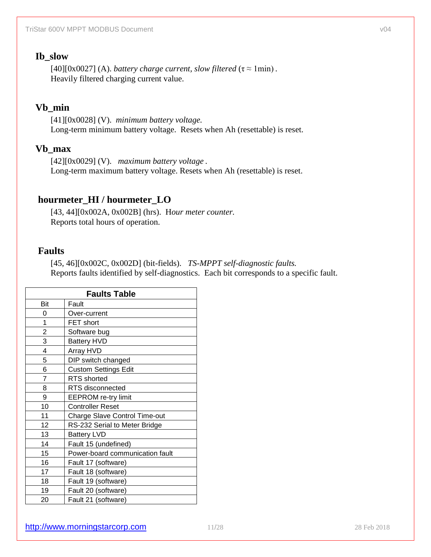### **Ib\_slow**

[40][0x0027] (A). *battery charge current, slow filtered*  $(\tau \approx 1 \text{min})$ . Heavily filtered charging current value.

## **Vb\_min**

[41][0x0028] (V). *minimum battery voltage.* Long-term minimum battery voltage. Resets when Ah (resettable) is reset.

## **Vb\_max**

[42][0x0029] (V). *maximum battery voltage .* Long-term maximum battery voltage. Resets when Ah (resettable) is reset.

## **hourmeter\_HI / hourmeter\_LO**

[43, 44][0x002A, 0x002B] (hrs). H*our meter counter.*  Reports total hours of operation.

## **Faults**

[45, 46][0x002C, 0x002D] (bit-fields). *TS-MPPT self-diagnostic faults.*  Reports faults identified by self-diagnostics. Each bit corresponds to a specific fault.

| <b>Faults Table</b> |                                      |  |  |
|---------------------|--------------------------------------|--|--|
| Bit                 | Fault                                |  |  |
| 0                   | Over-current                         |  |  |
| 1                   | FET short                            |  |  |
| $\overline{2}$      | Software bug                         |  |  |
| 3                   | <b>Battery HVD</b>                   |  |  |
| 4                   | Array HVD                            |  |  |
| 5                   | DIP switch changed                   |  |  |
| 6                   | <b>Custom Settings Edit</b>          |  |  |
| $\overline{7}$      | <b>RTS</b> shorted                   |  |  |
| 8                   | RTS disconnected                     |  |  |
| 9                   | <b>EEPROM</b> re-try limit           |  |  |
| 10                  | <b>Controller Reset</b>              |  |  |
| 11                  | <b>Charge Slave Control Time-out</b> |  |  |
| 12                  | RS-232 Serial to Meter Bridge        |  |  |
| 13                  | <b>Battery LVD</b>                   |  |  |
| 14                  | Fault 15 (undefined)                 |  |  |
| 15                  | Power-board communication fault      |  |  |
| 16                  | Fault 17 (software)                  |  |  |
| 17                  | Fault 18 (software)                  |  |  |
| 18                  | Fault 19 (software)                  |  |  |
| 19                  | Fault 20 (software)                  |  |  |
| 20                  | Fault 21 (software)                  |  |  |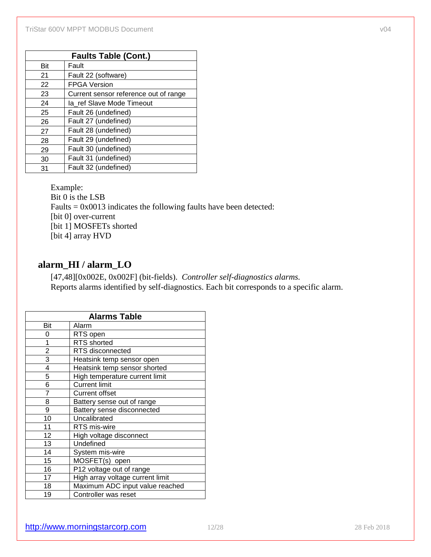|     | <b>Faults Table (Cont.)</b>           |  |  |  |
|-----|---------------------------------------|--|--|--|
| Bit | Fault                                 |  |  |  |
| 21  | Fault 22 (software)                   |  |  |  |
| 22  | <b>FPGA Version</b>                   |  |  |  |
| 23  | Current sensor reference out of range |  |  |  |
| 24  | la ref Slave Mode Timeout             |  |  |  |
| 25  | Fault 26 (undefined)                  |  |  |  |
| 26  | Fault 27 (undefined)                  |  |  |  |
| 27  | Fault 28 (undefined)                  |  |  |  |
| 28  | Fault 29 (undefined)                  |  |  |  |
| 29  | Fault 30 (undefined)                  |  |  |  |
| 30  | Fault 31 (undefined)                  |  |  |  |
| 31  | Fault 32 (undefined)                  |  |  |  |

Example: Bit 0 is the LSB Faults  $= 0x0013$  indicates the following faults have been detected: [bit 0] over-current [bit 1] MOSFETs shorted [bit 4] array HVD

## **alarm\_HI / alarm\_LO**

[47,48][0x002E, 0x002F] (bit-fields). *Controller self-diagnostics alarms.*  Reports alarms identified by self-diagnostics. Each bit corresponds to a specific alarm.

| <b>Alarms Table</b> |                                  |  |
|---------------------|----------------------------------|--|
| Bit                 | Alarm                            |  |
| 0                   | RTS open                         |  |
| 1                   | RTS shorted                      |  |
| $\overline{2}$      | RTS disconnected                 |  |
| 3                   | Heatsink temp sensor open        |  |
| 4                   | Heatsink temp sensor shorted     |  |
| 5                   | High temperature current limit   |  |
| 6                   | <b>Current limit</b>             |  |
| $\overline{7}$      | <b>Current offset</b>            |  |
| 8                   | Battery sense out of range       |  |
| 9                   | Battery sense disconnected       |  |
| 10                  | Uncalibrated                     |  |
| 11                  | RTS mis-wire                     |  |
| 12                  | High voltage disconnect          |  |
| 13                  | Undefined                        |  |
| 14                  | System mis-wire                  |  |
| 15                  | MOSFET(s) open                   |  |
| 16                  | P12 voltage out of range         |  |
| 17                  | High array voltage current limit |  |
| 18                  | Maximum ADC input value reached  |  |
| 19                  | Controller was reset             |  |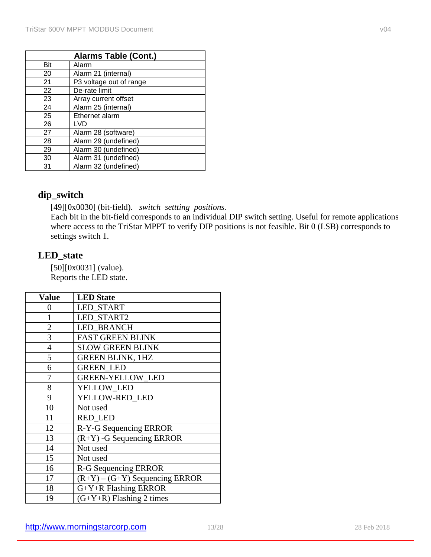| <b>Alarms Table (Cont.)</b> |                         |  |
|-----------------------------|-------------------------|--|
| Bit                         | Alarm                   |  |
| 20                          | Alarm 21 (internal)     |  |
| 21                          | P3 voltage out of range |  |
| 22                          | De-rate limit           |  |
| 23                          | Array current offset    |  |
| 24                          | Alarm 25 (internal)     |  |
| 25                          | Ethernet alarm          |  |
| 26                          | LVD                     |  |
| 27                          | Alarm 28 (software)     |  |
| 28                          | Alarm 29 (undefined)    |  |
| 29                          | Alarm 30 (undefined)    |  |
| 30                          | Alarm 31 (undefined)    |  |
| 31                          | Alarm 32 (undefined)    |  |

## **dip\_switch**

[49][0x0030] (bit-field). *switch settting positions.* 

Each bit in the bit-field corresponds to an individual DIP switch setting. Useful for remote applications where access to the TriStar MPPT to verify DIP positions is not feasible. Bit 0 (LSB) corresponds to settings switch 1.

## **LED\_state**

[50][0x0031] (value). Reports the LED state.

| <b>Value</b>   | <b>LED</b> State                 |
|----------------|----------------------------------|
| 0              | <b>LED START</b>                 |
| 1              | LED_START2                       |
| $\overline{2}$ | <b>LED BRANCH</b>                |
| 3              | <b>FAST GREEN BLINK</b>          |
| $\overline{4}$ | <b>SLOW GREEN BLINK</b>          |
| 5              | <b>GREEN BLINK, 1HZ</b>          |
| 6              | <b>GREEN LED</b>                 |
| 7              | <b>GREEN-YELLOW LED</b>          |
| 8              | YELLOW LED                       |
| 9              | YELLOW-RED LED                   |
| 10             | Not used                         |
| 11             | <b>RED LED</b>                   |
| 12             | R-Y-G Sequencing ERROR           |
| 13             | $(R+Y)$ -G Sequencing ERROR      |
| 14             | Not used                         |
| 15             | Not used                         |
| 16             | R-G Sequencing ERROR             |
| 17             | $(R+Y) - (G+Y)$ Sequencing ERROR |
| 18             | G+Y+R Flashing ERROR             |
| 19             | $(G+Y+R)$ Flashing 2 times       |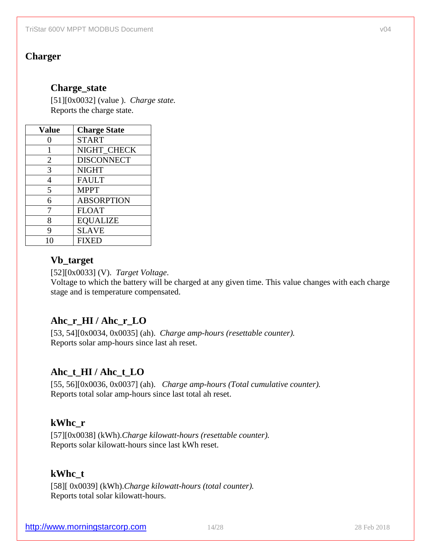### **Charger**

### **Charge\_state**

[51][0x0032] (value ). *Charge state.* Reports the charge state.

| <b>Value</b>   | <b>Charge State</b> |
|----------------|---------------------|
| 0              | <b>START</b>        |
| 1              | NIGHT_CHECK         |
| $\overline{2}$ | <b>DISCONNECT</b>   |
| 3              | <b>NIGHT</b>        |
| 4              | <b>FAULT</b>        |
| 5              | <b>MPPT</b>         |
| 6              | <b>ABSORPTION</b>   |
| 7              | <b>FLOAT</b>        |
| 8              | <b>EQUALIZE</b>     |
| 9              | <b>SLAVE</b>        |
| 10             | <b>FIXED</b>        |

### **Vb\_target**

[52][0x0033] (V). *Target Voltage*.

Voltage to which the battery will be charged at any given time. This value changes with each charge stage and is temperature compensated.

## **Ahc\_r\_HI / Ahc\_r\_LO**

[53, 54][0x0034, 0x0035] (ah). *Charge amp-hours (resettable counter).*  Reports solar amp-hours since last ah reset.

## **Ahc\_t\_HI / Ahc\_t\_LO**

[55, 56][0x0036, 0x0037] (ah). *Charge amp-hours (Total cumulative counter).*  Reports total solar amp-hours since last total ah reset.

## **kWhc\_r**

[57][0x0038] (kWh).*Charge kilowatt-hours (resettable counter).*  Reports solar kilowatt-hours since last kWh reset.

### **kWhc\_t**

[58][ 0x0039] (kWh).*Charge kilowatt-hours (total counter).*  Reports total solar kilowatt-hours.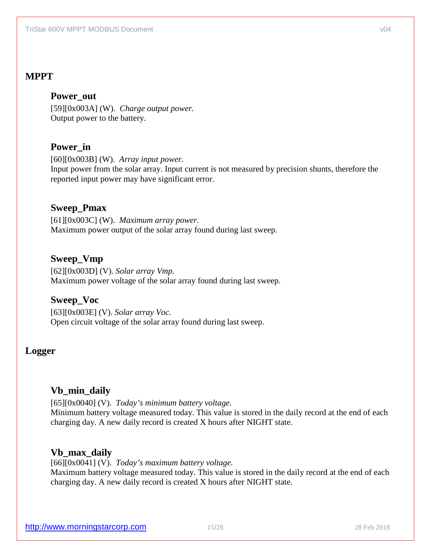## **MPPT**

### **Power\_out**

[59][0x003A] (W). *Charge output power.*  Output power to the battery.

## **Power\_in**

[60][0x003B] (W). *Array input power.*  Input power from the solar array. Input current is not measured by precision shunts, therefore the reported input power may have significant error.

### **Sweep\_Pmax**

[61][0x003C] (W). *Maximum array power.*  Maximum power output of the solar array found during last sweep.

### **Sweep\_Vmp**

[62][0x003D] (V). *Solar array Vmp.*  Maximum power voltage of the solar array found during last sweep.

### **Sweep\_Voc**

[63][0x003E] (V). *Solar array Voc.*  Open circuit voltage of the solar array found during last sweep.

### **Logger**

### **Vb\_min\_daily**

[65][0x0040] (V). *Today's minimum battery voltage.*  Minimum battery voltage measured today. This value is stored in the daily record at the end of each charging day. A new daily record is created X hours after NIGHT state.

### **Vb\_max\_daily**

[66][0x0041] (V). *Today's maximum battery voltage.*  Maximum battery voltage measured today. This value is stored in the daily record at the end of each charging day. A new daily record is created X hours after NIGHT state.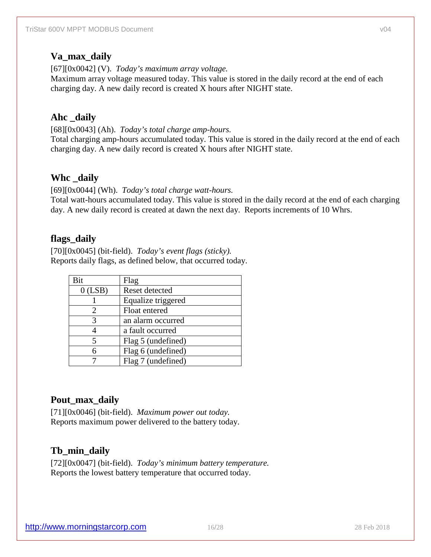## **Va\_max\_daily**

[67][0x0042] (V). *Today's maximum array voltage.*  Maximum array voltage measured today. This value is stored in the daily record at the end of each charging day. A new daily record is created X hours after NIGHT state.

## **Ahc \_daily**

[68][0x0043] (Ah). *Today's total charge amp-hours.* 

Total charging amp-hours accumulated today. This value is stored in the daily record at the end of each charging day. A new daily record is created X hours after NIGHT state.

## **Whc \_daily**

[69][0x0044] (Wh). *Today's total charge watt-hours.* 

Total watt-hours accumulated today. This value is stored in the daily record at the end of each charging day. A new daily record is created at dawn the next day. Reports increments of 10 Whrs.

### **flags\_daily**

[70][0x0045] (bit-field). *Today's event flags (sticky).*  Reports daily flags, as defined below, that occurred today.

| Bit       | Flag               |  |
|-----------|--------------------|--|
| $0$ (LSB) | Reset detected     |  |
|           | Equalize triggered |  |
|           | Float entered      |  |
| 3         | an alarm occurred  |  |
|           | a fault occurred   |  |
|           | Flag 5 (undefined) |  |
|           | Flag 6 (undefined) |  |
|           | Flag 7 (undefined) |  |

## **Pout\_max\_daily**

[71][0x0046] (bit-field). *Maximum power out today.*  Reports maximum power delivered to the battery today.

## **Tb\_min\_daily**

[72][0x0047] (bit-field). *Today's minimum battery temperature.*  Reports the lowest battery temperature that occurred today.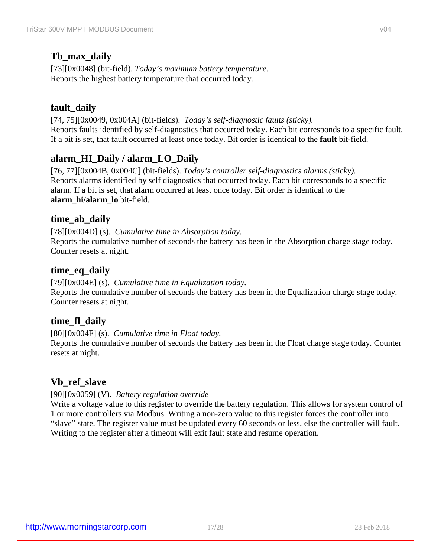## **Tb\_max\_daily**

[73][0x0048] (bit-field). *Today's maximum battery temperature.*  Reports the highest battery temperature that occurred today.

## **fault\_daily**

[74, 75][0x0049, 0x004A] (bit-fields). *Today's self-diagnostic faults (sticky).*  Reports faults identified by self-diagnostics that occurred today. Each bit corresponds to a specific fault. If a bit is set, that fault occurred at least once today. Bit order is identical to the **fault** bit-field.

## **alarm\_HI\_Daily / alarm\_LO\_Daily**

[76, 77][0x004B, 0x004C] (bit-fields). *Today's controller self-diagnostics alarms (sticky).*  Reports alarms identified by self diagnostics that occurred today. Each bit corresponds to a specific alarm. If a bit is set, that alarm occurred at least once today. Bit order is identical to the **alarm\_hi/alarm\_lo** bit-field.

### **time\_ab\_daily**

[78][0x004D] (s). *Cumulative time in Absorption today.*  Reports the cumulative number of seconds the battery has been in the Absorption charge stage today. Counter resets at night.

### **time\_eq\_daily**

[79][0x004E] (s). *Cumulative time in Equalization today.*  Reports the cumulative number of seconds the battery has been in the Equalization charge stage today. Counter resets at night.

## **time\_fl\_daily**

[80][0x004F] (s). *Cumulative time in Float today.* 

Reports the cumulative number of seconds the battery has been in the Float charge stage today. Counter resets at night.

## **Vb\_ref\_slave**

### [90][0x0059] (V). *Battery regulation override*

Write a voltage value to this register to override the battery regulation. This allows for system control of 1 or more controllers via Modbus. Writing a non-zero value to this register forces the controller into "slave" state. The register value must be updated every 60 seconds or less, else the controller will fault. Writing to the register after a timeout will exit fault state and resume operation.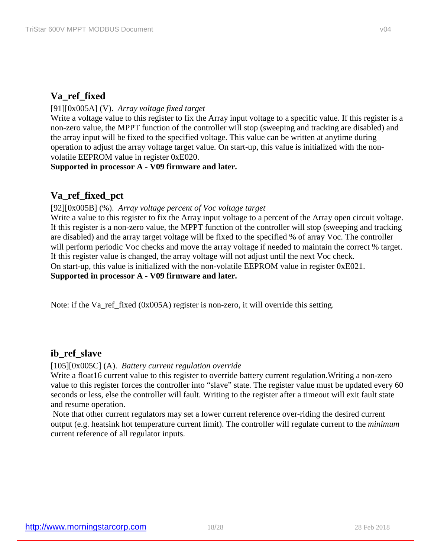## **Va\_ref\_fixed**

[91][0x005A] (V). *Array voltage fixed target*

Write a voltage value to this register to fix the Array input voltage to a specific value. If this register is a non-zero value, the MPPT function of the controller will stop (sweeping and tracking are disabled) and the array input will be fixed to the specified voltage. This value can be written at anytime during operation to adjust the array voltage target value. On start-up, this value is initialized with the nonvolatile EEPROM value in register 0xE020.

**Supported in processor A - V09 firmware and later.**

## **Va\_ref\_fixed\_pct**

[92][0x005B] (%). *Array voltage percent of Voc voltage target*

Write a value to this register to fix the Array input voltage to a percent of the Array open circuit voltage. If this register is a non-zero value, the MPPT function of the controller will stop (sweeping and tracking are disabled) and the array target voltage will be fixed to the specified % of array Voc. The controller will perform periodic Voc checks and move the array voltage if needed to maintain the correct % target. If this register value is changed, the array voltage will not adjust until the next Voc check. On start-up, this value is initialized with the non-volatile EEPROM value in register 0xE021. **Supported in processor A - V09 firmware and later.**

Note: if the Va\_ref\_fixed  $(0x005A)$  register is non-zero, it will override this setting.

## **ib\_ref\_slave**

[105][0x005C] (A). *Battery current regulation override*

Write a float 16 current value to this register to override battery current regulation. Writing a non-zero value to this register forces the controller into "slave" state. The register value must be updated every 60 seconds or less, else the controller will fault. Writing to the register after a timeout will exit fault state and resume operation.

Note that other current regulators may set a lower current reference over-riding the desired current output (e.g. heatsink hot temperature current limit). The controller will regulate current to the *minimum* current reference of all regulator inputs.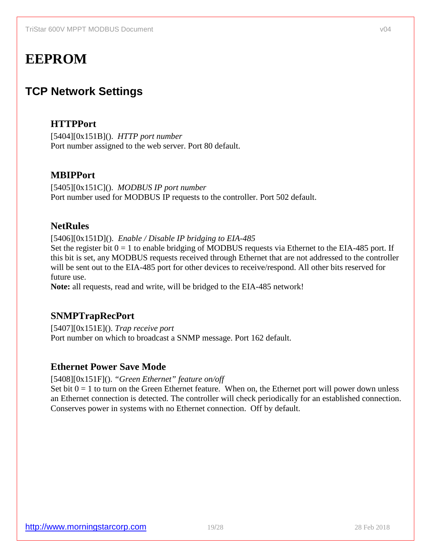# **EEPROM**

## **TCP Network Settings**

## **HTTPPort**

[5404][0x151B](). *HTTP port number* Port number assigned to the web server. Port 80 default.

## **MBIPPort**

[5405][0x151C](). *MODBUS IP port number* Port number used for MODBUS IP requests to the controller. Port 502 default.

### **NetRules**

[5406][0x151D](). *Enable / Disable IP bridging to EIA-485*

Set the register bit  $0 = 1$  to enable bridging of MODBUS requests via Ethernet to the EIA-485 port. If this bit is set, any MODBUS requests received through Ethernet that are not addressed to the controller will be sent out to the EIA-485 port for other devices to receive/respond. All other bits reserved for future use.

**Note:** all requests, read and write, will be bridged to the EIA-485 network!

## **SNMPTrapRecPort**

[5407][0x151E](). *Trap receive port* Port number on which to broadcast a SNMP message. Port 162 default.

## **Ethernet Power Save Mode**

[5408][0x151F](). *"Green Ethernet" feature on/off*

Set bit  $0 = 1$  to turn on the Green Ethernet feature. When on, the Ethernet port will power down unless an Ethernet connection is detected. The controller will check periodically for an established connection. Conserves power in systems with no Ethernet connection. Off by default.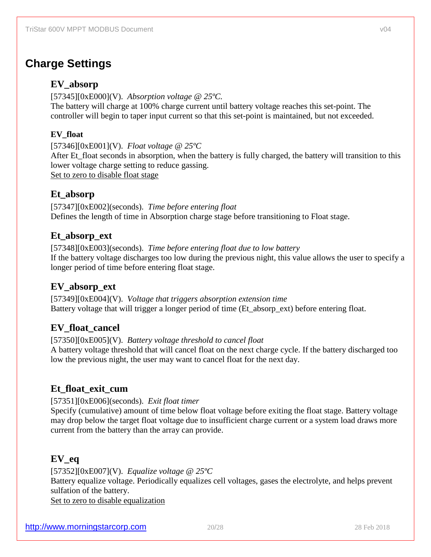## **Charge Settings**

### **EV\_absorp**

[57345][0xE000](V). *Absorption voltage @ 25ºC.* The battery will charge at 100% charge current until battery voltage reaches this set-point. The controller will begin to taper input current so that this set-point is maintained, but not exceeded.

### **EV\_float**

[57346][0xE001](V). *Float voltage @ 25ºC*  After Et float seconds in absorption, when the battery is fully charged, the battery will transition to this lower voltage charge setting to reduce gassing. Set to zero to disable float stage

### **Et\_absorp**

[57347][0xE002](seconds). *Time before entering float* Defines the length of time in Absorption charge stage before transitioning to Float stage.

### **Et\_absorp\_ext**

[57348][0xE003](seconds). *Time before entering float due to low battery* If the battery voltage discharges too low during the previous night, this value allows the user to specify a longer period of time before entering float stage.

## **EV\_absorp\_ext**

[57349][0xE004](V). *Voltage that triggers absorption extension time* Battery voltage that will trigger a longer period of time (Et\_absorp\_ext) before entering float.

## **EV\_float\_cancel**

[57350][0xE005](V). *Battery voltage threshold to cancel float*

A battery voltage threshold that will cancel float on the next charge cycle. If the battery discharged too low the previous night, the user may want to cancel float for the next day.

## **Et\_float\_exit\_cum**

#### [57351][0xE006](seconds). *Exit float timer*

Specify (cumulative) amount of time below float voltage before exiting the float stage. Battery voltage may drop below the target float voltage due to insufficient charge current or a system load draws more current from the battery than the array can provide.

## **EV\_eq**

[57352][0xE007](V). *Equalize voltage @ 25ºC* Battery equalize voltage. Periodically equalizes cell voltages, gases the electrolyte, and helps prevent sulfation of the battery. Set to zero to disable equalization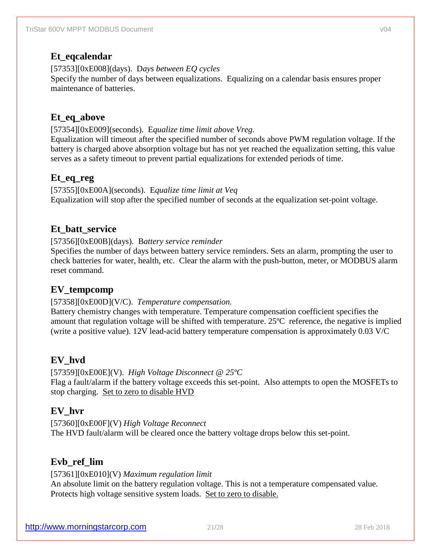## **Et\_eqcalendar**

[57353][0xE008](days). D*ays between EQ cycles*

Specify the number of days between equalizations. Equalizing on a calendar basis ensures proper maintenance of batteries.

## **Et\_eq\_above**

[57354][0xE009](seconds). E*qualize time limit above Vreg.*

Equalization will timeout after the specified number of seconds above PWM regulation voltage. If the battery is charged above absorption voltage but has not yet reached the equalization setting, this value serves as a safety timeout to prevent partial equalizations for extended periods of time.

## **Et\_eq\_reg**

[57355][0xE00A](seconds). E*qualize time limit at Veq* Equalization will stop after the specified number of seconds at the equalization set-point voltage.

## **Et\_batt\_service**

[57356][0xE00B](days). B*attery service reminder*

Specifies the number of days between battery service reminders. Sets an alarm, prompting the user to check batteries for water, health, etc. Clear the alarm with the push-button, meter, or MODBUS alarm reset command.

## **EV\_tempcomp**

### [57358][0xE00D](V/C). *Temperature compensation.*

Battery chemistry changes with temperature. Temperature compensation coefficient specifies the amount that regulation voltage will be shifted with temperature. 25ºC reference, the negative is implied (write a positive value). 12V lead-acid battery temperature compensation is approximately 0.03 V/C

## **EV\_hvd**

[57359][0xE00E](V). *High Voltage Disconnect @ 25ºC* Flag a fault/alarm if the battery voltage exceeds this set-point. Also attempts to open the MOSFETs to stop charging. Set to zero to disable HVD

## **EV\_hvr**

[57360][0xE00F](V) *High Voltage Reconnect* The HVD fault/alarm will be cleared once the battery voltage drops below this set-point.

## **Evb\_ref\_lim**

[57361][0xE010](V) *Maximum regulation limit* An absolute limit on the battery regulation voltage. This is not a temperature compensated value. Protects high voltage sensitive system loads. Set to zero to disable.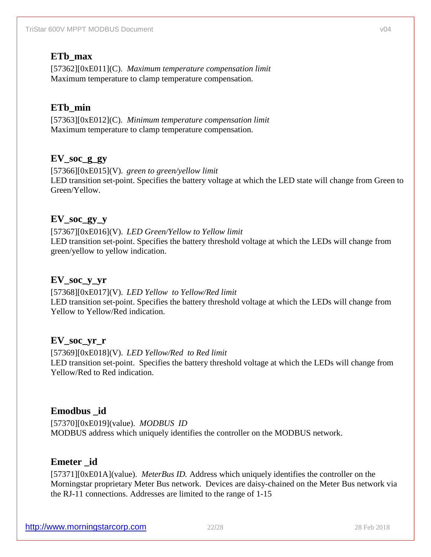### **ETb\_max**

[57362][0xE011](C). *Maximum temperature compensation limit* Maximum temperature to clamp temperature compensation.

## **ETb\_min**

[57363][0xE012](C). *Minimum temperature compensation limit* Maximum temperature to clamp temperature compensation.

### **EV\_soc\_g\_gy**

[57366][0xE015](V). *green to green/yellow limit* LED transition set-point. Specifies the battery voltage at which the LED state will change from Green to Green/Yellow.

### **EV\_soc\_gy\_y**

[57367][0xE016](V). *LED Green/Yellow to Yellow limit*  LED transition set-point. Specifies the battery threshold voltage at which the LEDs will change from green/yellow to yellow indication.

### **EV\_soc\_y\_yr**

[57368][0xE017](V). *LED Yellow to Yellow/Red limit*  LED transition set-point. Specifies the battery threshold voltage at which the LEDs will change from Yellow to Yellow/Red indication.

### **EV\_soc\_yr\_r**

[57369][0xE018](V). *LED Yellow/Red to Red limit*  LED transition set-point. Specifies the battery threshold voltage at which the LEDs will change from Yellow/Red to Red indication.

### **Emodbus \_id**

[57370][0xE019](value). *MODBUS ID* MODBUS address which uniquely identifies the controller on the MODBUS network.

### **Emeter \_id**

[57371][0xE01A](value). *MeterBus ID.* Address which uniquely identifies the controller on the Morningstar proprietary Meter Bus network. Devices are daisy-chained on the Meter Bus network via the RJ-11 connections. Addresses are limited to the range of 1-15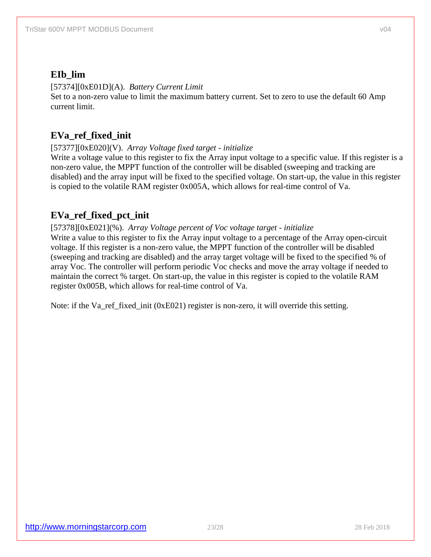## **EIb\_lim**

### [57374][0xE01D](A). *Battery Current Limit*

Set to a non-zero value to limit the maximum battery current. Set to zero to use the default 60 Amp current limit.

## **EVa\_ref\_fixed\_init**

### [57377][0xE020](V). *Array Voltage fixed target - initialize*

Write a voltage value to this register to fix the Array input voltage to a specific value. If this register is a non-zero value, the MPPT function of the controller will be disabled (sweeping and tracking are disabled) and the array input will be fixed to the specified voltage. On start-up, the value in this register is copied to the volatile RAM register 0x005A, which allows for real-time control of Va.

## **EVa\_ref\_fixed\_pct\_init**

### [57378][0xE021](%). *Array Voltage percent of Voc voltage target - initialize*

Write a value to this register to fix the Array input voltage to a percentage of the Array open-circuit voltage. If this register is a non-zero value, the MPPT function of the controller will be disabled (sweeping and tracking are disabled) and the array target voltage will be fixed to the specified % of array Voc. The controller will perform periodic Voc checks and move the array voltage if needed to maintain the correct % target. On start-up, the value in this register is copied to the volatile RAM register 0x005B, which allows for real-time control of Va.

Note: if the Va\_ref\_fixed\_init (0xE021) register is non-zero, it will override this setting.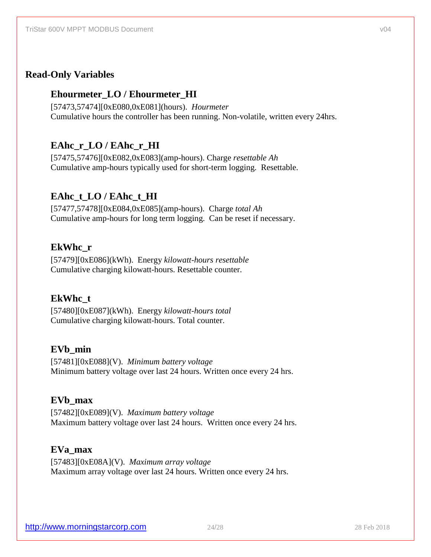### **Read-Only Variables**

### **Ehourmeter\_LO / Ehourmeter\_HI**

[57473,57474][0xE080,0xE081](hours). *Hourmeter* Cumulative hours the controller has been running. Non-volatile, written every 24hrs.

## **EAhc\_r\_LO / EAhc\_r\_HI**

[57475,57476][0xE082,0xE083](amp-hours). Charge *resettable Ah* Cumulative amp-hours typically used for short-term logging. Resettable.

### **EAhc\_t\_LO / EAhc\_t\_HI**

[57477,57478][0xE084,0xE085](amp-hours). Charge *total Ah* Cumulative amp-hours for long term logging. Can be reset if necessary.

### **EkWhc\_r**

[57479][0xE086](kWh). Energy *kilowatt-hours resettable* Cumulative charging kilowatt-hours. Resettable counter.

### **EkWhc\_t**

[57480][0xE087](kWh). Energy *kilowatt-hours total* Cumulative charging kilowatt-hours. Total counter.

### **EVb\_min**

[57481][0xE088](V). *Minimum battery voltage* Minimum battery voltage over last 24 hours. Written once every 24 hrs.

#### **EVb\_max**

[57482][0xE089](V). *Maximum battery voltage* Maximum battery voltage over last 24 hours. Written once every 24 hrs.

### **EVa\_max**

[57483][0xE08A](V). *Maximum array voltage* Maximum array voltage over last 24 hours. Written once every 24 hrs.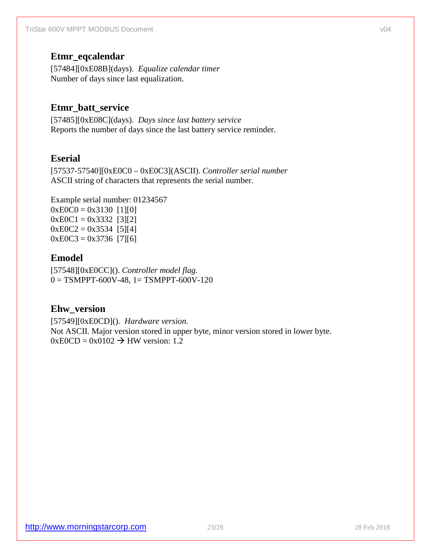### **Etmr\_eqcalendar**

[57484][0xE08B](days). *Equalize calendar timer* Number of days since last equalization.

## **Etmr\_batt\_service**

[57485][0xE08C](days). *Days since last battery service*  Reports the number of days since the last battery service reminder.

### **Eserial**

[57537-57540][0xE0C0 – 0xE0C3](ASCII). *Controller serial number* ASCII string of characters that represents the serial number.

Example serial number: 01234567  $0xE0C0 = 0x3130$  [1][0]  $0xEOC1 = 0x3332$  [3][2]  $0xE0C2 = 0x3534$  [5][4]  $0xE0C3 = 0x3736$  [7][6]

### **Emodel**

[57548][0xE0CC](). *Controller model flag.*  $0 = TSMPPT-600V-48$ ,  $1 = TSMPPT-600V-120$ 

### **Ehw\_version**

[57549][0xE0CD](). *Hardware version.* Not ASCII. Major version stored in upper byte, minor version stored in lower byte.  $0xE0CD = 0x0102 \rightarrow HW$  version: 1.2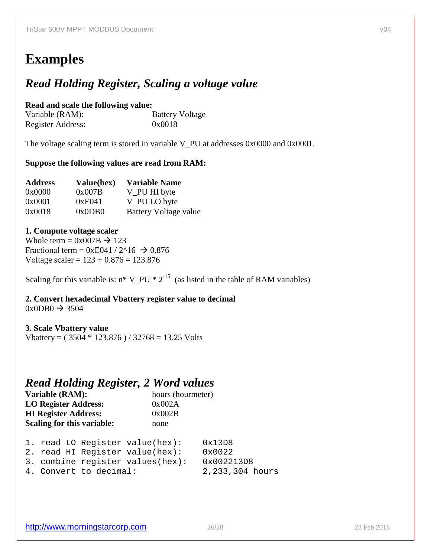# **Examples**

## *Read Holding Register, Scaling a voltage value*

**Read and scale the following value:** Variable (RAM): Battery Voltage<br>Register Address: 0x0018 Register Address:

The voltage scaling term is stored in variable V\_PU at addresses 0x0000 and 0x0001.

#### **Suppose the following values are read from RAM:**

| <b>Address</b> | Value(hex) | <b>Variable Name</b>  |
|----------------|------------|-----------------------|
| 0x0000         | 0x007B     | V_PU HI byte          |
| 0x0001         | 0xE041     | V_PU LO byte          |
| 0x0018         | 0x0DB0     | Battery Voltage value |

#### **1. Compute voltage scaler**

Whole term =  $0x007B \rightarrow 123$ Fractional term =  $0xE041 / 2^16 \rightarrow 0.876$ Voltage scaler =  $123 + 0.876 = 123.876$ 

Scaling for this variable is:  $n^* V_P U^* 2^{-15}$  (as listed in the table of RAM variables)

**2. Convert hexadecimal Vbattery register value to decimal**  $0x0DB0 \rightarrow 3504$ 

#### **3. Scale Vbattery value**

Vbattery =  $(3504 * 123.876) / 32768 = 13.25$  Volts

## *Read Holding Register, 2 Word values*

| Variable (RAM):             | hours (hourmeter) |
|-----------------------------|-------------------|
| <b>LO Register Address:</b> | 0x002A            |
| <b>HI Register Address:</b> | 0x002B            |
| Scaling for this variable:  | none              |
|                             |                   |

|  |                        | 1. read LO Register value(hex):      | 0x13D8          |
|--|------------------------|--------------------------------------|-----------------|
|  |                        | 2. read HI Register value(hex):      | 0x0022          |
|  |                        | 3. combine register values( $hex$ ): | 0x002213D8      |
|  | 4. Convert to decimal: |                                      | 2,233,304 hours |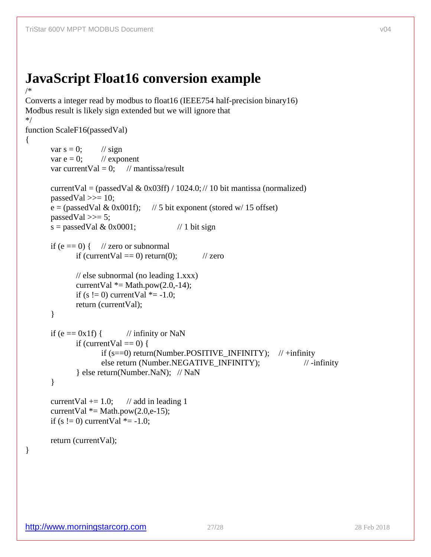## **JavaScript Float16 conversion example** /\*

```
Converts a integer read by modbus to float16 (IEEE754 half-precision binary16)
Modbus result is likely sign extended but we will ignore that
*/
function ScaleF16(passedVal)
{
       var s = 0; // sign
       var e = 0; // exponent
       var currentVal = 0; // mantissa/result
       currentVal = (passedVal & 0x03ff) / 1024.0; // 10 bit mantissa (normalized)
       passedVal \gg= 10;
       e = (passedVal & 0x001f); // 5 bit exponent (stored w/ 15 offset)
       passedVal \gg=5;
       s = passedVal & 0x0001; // 1 bit sign
       if (e == 0) { // zero or subnormal
              if (currentVal == 0) return(0); // zero
             // else subnormal (no leading 1.xxx)
              currentVal *= Math.pow(2.0,-14);
              if (s != 0) currentVal * = -1.0;
              return (currentVal);
       }
       if (e == 0x1f) { // infinity or NaN
              if (currentVal == 0) {
                     if (s == 0) return(Number.POSITIVE_INFINITY); // +infinity
                     else return (Number.NEGATIVE_INFINITY); // -infinity
              } else return(Number.NaN); // NaN
       }
       currentVal += 1.0; // add in leading 1
       currentVal *= Math.pow(2.0,e-15);
       if (s != 0) currentVal * = -1.0;
       return (currentVal);
```
### <span id="page-26-0"></span>}